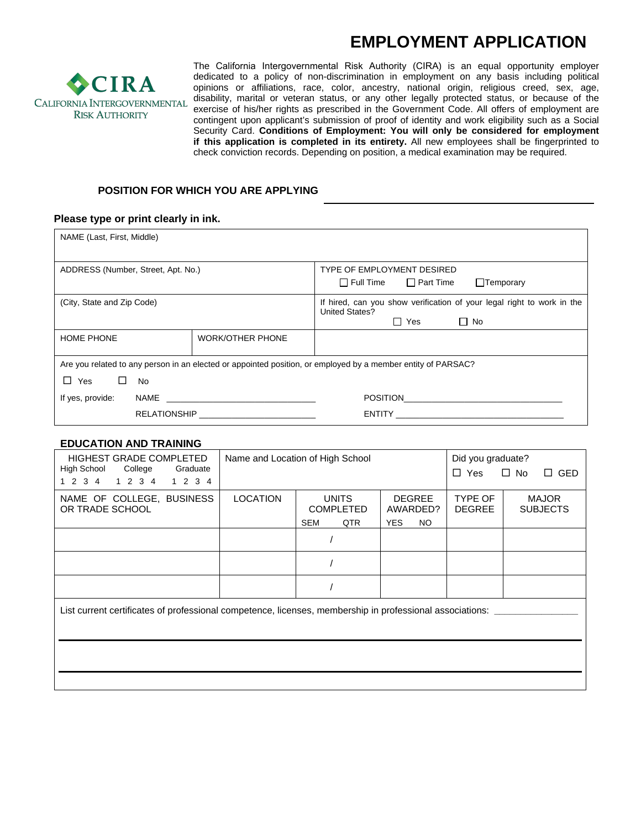# **EMPLOYMENT APPLICATION**



The California Intergovernmental Risk Authority (CIRA) is an equal opportunity employer dedicated to a policy of non-discrimination in employment on any basis including political opinions or affiliations, race, color, ancestry, national origin, religious creed, sex, age, disability, marital or veteran status, or any other legally protected status, or because of the exercise of his/her rights as prescribed in the Government Code. All offers of employment are contingent upon applicant's submission of proof of identity and work eligibility such as a Social Security Card. **Conditions of Employment: You will only be considered for employment if this application is completed in its entirety.** All new employees shall be fingerprinted to check conviction records. Depending on position, a medical examination may be required.

## **POSITION FOR WHICH YOU ARE APPLYING**

#### **Please type or print clearly in ink.**

| NAME (Last, First, Middle)                                                                                   |                                        |                                                                                                                                                                                                                                |  |  |
|--------------------------------------------------------------------------------------------------------------|----------------------------------------|--------------------------------------------------------------------------------------------------------------------------------------------------------------------------------------------------------------------------------|--|--|
| ADDRESS (Number, Street, Apt. No.)                                                                           |                                        | TYPE OF EMPLOYMENT DESIRED<br>$\Box$ Full Time $\Box$ Part Time<br>$\Box$ Temporary                                                                                                                                            |  |  |
| (City, State and Zip Code)                                                                                   |                                        | If hired, can you show verification of your legal right to work in the<br><b>United States?</b><br>$\Box$ No<br>⊟ Yes                                                                                                          |  |  |
| <b>HOME PHONE</b>                                                                                            | <b>WORK/OTHER PHONE</b>                |                                                                                                                                                                                                                                |  |  |
| Are you related to any person in an elected or appointed position, or employed by a member entity of PARSAC? |                                        |                                                                                                                                                                                                                                |  |  |
| $\Box$ Yes<br>$\Box$<br>No.                                                                                  |                                        |                                                                                                                                                                                                                                |  |  |
| If yes, provide:                                                                                             |                                        |                                                                                                                                                                                                                                |  |  |
|                                                                                                              | RELATIONSHIP <u>__________________</u> | ENTITY THE CONTROL CONTROL CONTROL CONTROL CONTROL CONTROL CONTROL CONTROL CONTROL CONTROL CONTROL CONTROL CONTROL CONTROL CONTROL CONTROL CONTROL CONTROL CONTROL CONTROL CONTROL CONTROL CONTROL CONTROL CONTROL CONTROL CON |  |  |

#### **EDUCATION AND TRAINING**

| <b>HIGHEST GRADE COMPLETED</b><br>High School<br>College<br>Graduate<br>1 2 3 4 1 2 3 4 1 2 3 4            | Name and Location of High School |                                                       |                                                      | Did you graduate?<br>$\Box$ Yes | $\Box$ No<br>$\Box$ GED         |
|------------------------------------------------------------------------------------------------------------|----------------------------------|-------------------------------------------------------|------------------------------------------------------|---------------------------------|---------------------------------|
| NAME OF COLLEGE, BUSINESS<br>OR TRADE SCHOOL                                                               | <b>LOCATION</b>                  | <b>UNITS</b><br><b>COMPLETED</b><br><b>SEM</b><br>QTR | <b>DEGREE</b><br>AWARDED?<br><b>YES</b><br><b>NO</b> | TYPE OF<br><b>DEGREE</b>        | <b>MAJOR</b><br><b>SUBJECTS</b> |
|                                                                                                            |                                  |                                                       |                                                      |                                 |                                 |
|                                                                                                            |                                  |                                                       |                                                      |                                 |                                 |
|                                                                                                            |                                  |                                                       |                                                      |                                 |                                 |
| List current certificates of professional competence, licenses, membership in professional associations: _ |                                  |                                                       |                                                      |                                 |                                 |
|                                                                                                            |                                  |                                                       |                                                      |                                 |                                 |
|                                                                                                            |                                  |                                                       |                                                      |                                 |                                 |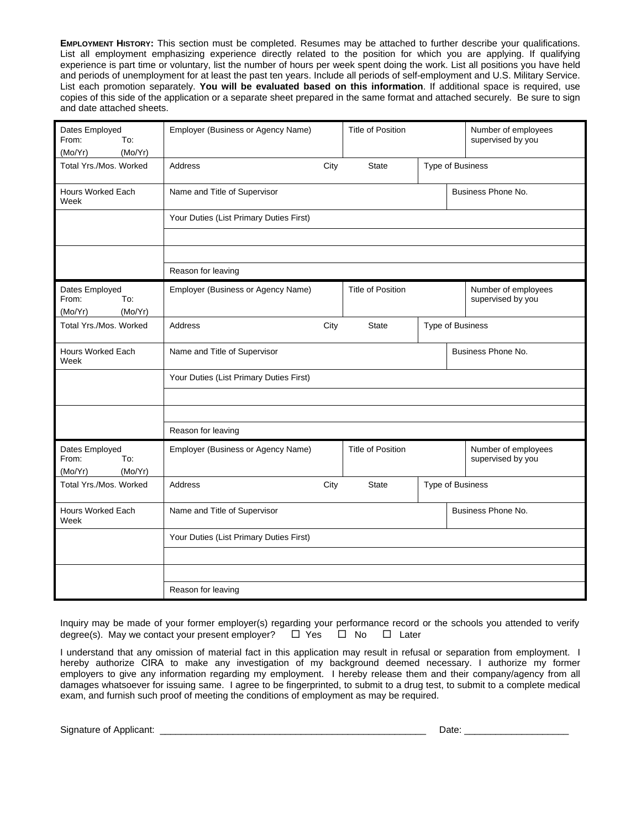**EMPLOYMENT HISTORY:** This section must be completed. Resumes may be attached to further describe your qualifications. List all employment emphasizing experience directly related to the position for which you are applying. If qualifying experience is part time or voluntary, list the number of hours per week spent doing the work. List all positions you have held and periods of unemployment for at least the past ten years. Include all periods of self-employment and U.S. Military Service. List each promotion separately. **You will be evaluated based on this information**. If additional space is required, use copies of this side of the application or a separate sheet prepared in the same format and attached securely. Be sure to sign and date attached sheets.

| Dates Employed<br>From:<br>To:<br>(Mo/Yr)<br>(Mo/Yr) | Employer (Business or Agency Name)      |      | <b>Title of Position</b> | Number of employees<br>supervised by you |  |  |
|------------------------------------------------------|-----------------------------------------|------|--------------------------|------------------------------------------|--|--|
| Total Yrs./Mos. Worked                               | Address                                 | City | <b>State</b>             | Type of Business                         |  |  |
| <b>Hours Worked Each</b><br>Week                     | Name and Title of Supervisor            |      |                          | Business Phone No.                       |  |  |
|                                                      | Your Duties (List Primary Duties First) |      |                          |                                          |  |  |
|                                                      |                                         |      |                          |                                          |  |  |
|                                                      |                                         |      |                          |                                          |  |  |
|                                                      | Reason for leaving                      |      |                          |                                          |  |  |
| Dates Employed<br>From:<br>To:<br>(Mo/Yr)<br>(Mo/Yr) | Employer (Business or Agency Name)      |      | <b>Title of Position</b> | Number of employees<br>supervised by you |  |  |
| Total Yrs./Mos. Worked                               | Address                                 | City | <b>State</b>             | Type of Business                         |  |  |
| <b>Hours Worked Each</b><br>Week                     | Name and Title of Supervisor            |      |                          | Business Phone No.                       |  |  |
|                                                      | Your Duties (List Primary Duties First) |      |                          |                                          |  |  |
|                                                      |                                         |      |                          |                                          |  |  |
|                                                      |                                         |      |                          |                                          |  |  |
|                                                      | Reason for leaving                      |      |                          |                                          |  |  |
| Dates Employed<br>From:<br>To:<br>(Mo/Yr)<br>(Mo/Yr) | Employer (Business or Agency Name)      |      | <b>Title of Position</b> | Number of employees<br>supervised by you |  |  |
| Total Yrs./Mos. Worked                               | Address                                 | City | <b>State</b>             | Type of Business                         |  |  |
| <b>Hours Worked Each</b><br>Week                     | Name and Title of Supervisor            |      |                          | Business Phone No.                       |  |  |
|                                                      | Your Duties (List Primary Duties First) |      |                          |                                          |  |  |
|                                                      |                                         |      |                          |                                          |  |  |
|                                                      |                                         |      |                          |                                          |  |  |
|                                                      | Reason for leaving                      |      |                          |                                          |  |  |

Inquiry may be made of your former employer(s) regarding your performance record or the schools you attended to verify degree(s). May we contact your present employer?  $\Box$  Yes  $\Box$  No  $\Box$  Later

I understand that any omission of material fact in this application may result in refusal or separation from employment. I hereby authorize CIRA to make any investigation of my background deemed necessary. I authorize my former employers to give any information regarding my employment. I hereby release them and their company/agency from all damages whatsoever for issuing same. I agree to be fingerprinted, to submit to a drug test, to submit to a complete medical exam, and furnish such proof of meeting the conditions of employment as may be required.

Signature of Applicant: \_\_\_\_\_\_\_\_\_\_\_\_\_\_\_\_\_\_\_\_\_\_\_\_\_\_\_\_\_\_\_\_\_\_\_\_\_\_\_\_\_\_\_\_\_\_\_\_\_\_\_ Date: \_\_\_\_\_\_\_\_\_\_\_\_\_\_\_\_\_\_\_\_